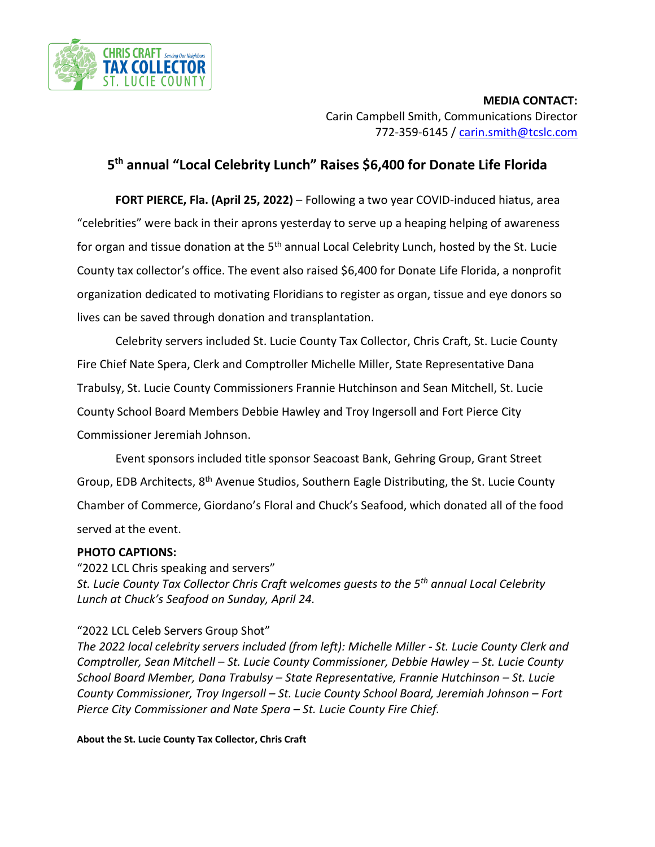

**MEDIA CONTACT:** Carin Campbell Smith, Communications Director 772-359-6145 / [carin.smith@tcslc.com](mailto:carin.smith@tcslc.com)

## **5 th annual "Local Celebrity Lunch" Raises \$6,400 for Donate Life Florida**

**FORT PIERCE, Fla. (April 25, 2022)** – Following a two year COVID-induced hiatus, area "celebrities" were back in their aprons yesterday to serve up a heaping helping of awareness for organ and tissue donation at the 5<sup>th</sup> annual Local Celebrity Lunch, hosted by the St. Lucie County tax collector's office. The event also raised \$6,400 for Donate Life Florida, a nonprofit organization dedicated to motivating Floridians to register as organ, tissue and eye donors so lives can be saved through donation and transplantation.

Celebrity servers included St. Lucie County Tax Collector, Chris Craft, St. Lucie County Fire Chief Nate Spera, Clerk and Comptroller Michelle Miller, State Representative Dana Trabulsy, St. Lucie County Commissioners Frannie Hutchinson and Sean Mitchell, St. Lucie County School Board Members Debbie Hawley and Troy Ingersoll and Fort Pierce City Commissioner Jeremiah Johnson.

Event sponsors included title sponsor Seacoast Bank, Gehring Group, Grant Street Group, EDB Architects, 8<sup>th</sup> Avenue Studios, Southern Eagle Distributing, the St. Lucie County Chamber of Commerce, Giordano's Floral and Chuck's Seafood, which donated all of the food served at the event.

## **PHOTO CAPTIONS:**

"2022 LCL Chris speaking and servers" *St. Lucie County Tax Collector Chris Craft welcomes guests to the 5th annual Local Celebrity Lunch at Chuck's Seafood on Sunday, April 24.*

## "2022 LCL Celeb Servers Group Shot"

*The 2022 local celebrity servers included (from left): Michelle Miller - St. Lucie County Clerk and Comptroller, Sean Mitchell – St. Lucie County Commissioner, Debbie Hawley – St. Lucie County School Board Member, Dana Trabulsy – State Representative, Frannie Hutchinson – St. Lucie County Commissioner, Troy Ingersoll – St. Lucie County School Board, Jeremiah Johnson – Fort Pierce City Commissioner and Nate Spera – St. Lucie County Fire Chief.*

**About the St. Lucie County Tax Collector, Chris Craft**